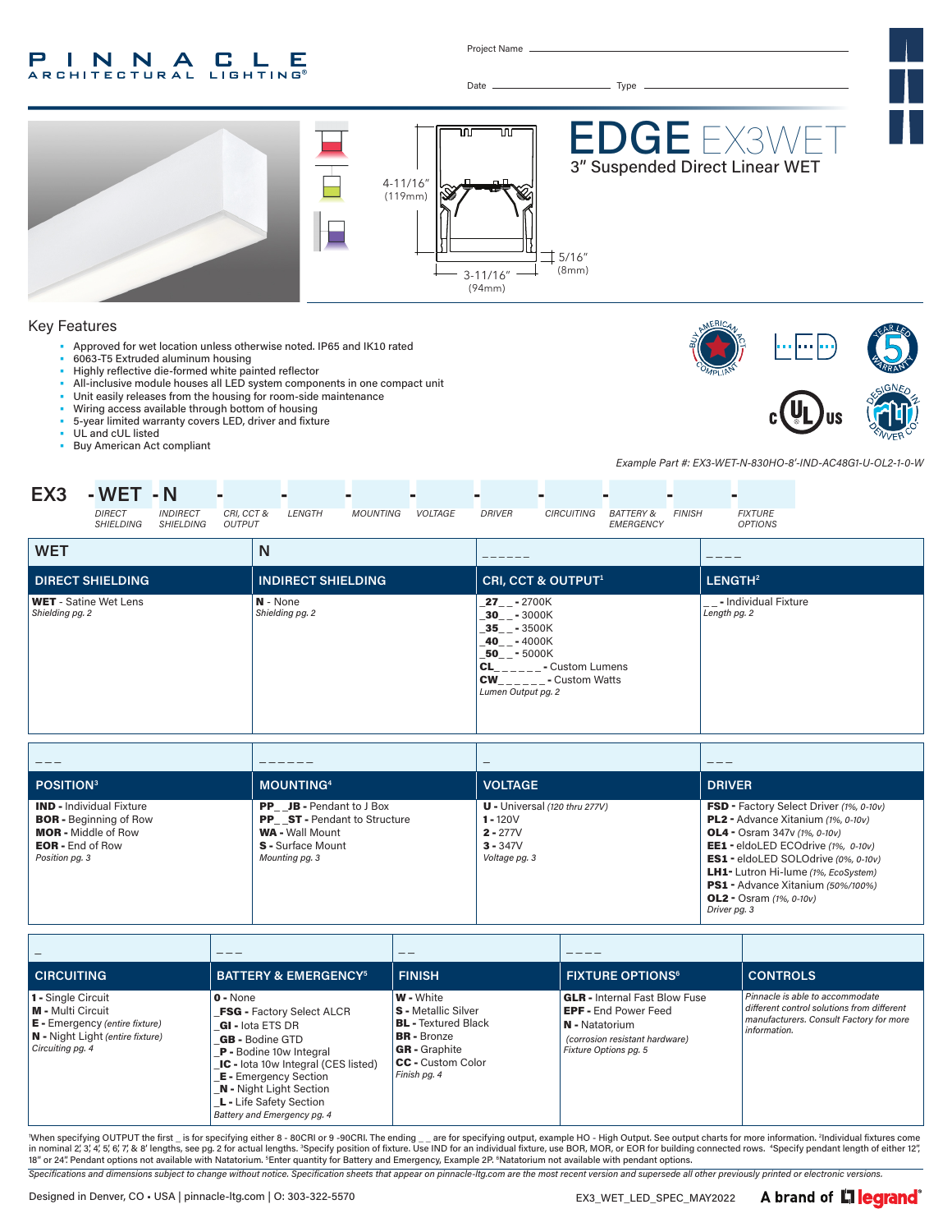#### INNA P.  $\blacksquare$ LE **ARCHITECTURAL LIGHTING®**

Project Name

Date Type



#### Key Features

• Approved for wet location unless otherwise noted. IP65 and IK10 rated

- 6063-T5 Extruded aluminum housing
- Highly reflective die-formed white painted reflector
- All-inclusive module houses all LED system components in one compact unit
- Unit easily releases from the housing for room-side maintenance
- Wiring access available through bottom of housing
- 5-year limited warranty covers LED, driver and fixture
- UL and cUL listed
- Buy American Act compliant





*Example Part #: EX3-WET-N-830HO-8'-IND-AC48G1-U-OL2-1-0-W*

| EX3                                             | - WET - N<br>DIRECT<br>SHIELDING | <b>INDIRECT</b><br><b>SHIELDING</b> | CRI, CCT &<br><b>OUTPUT</b> |            | LENGTH                    | <b>MOUNTING</b> | <i>VOLTAGE</i> | <b>DRIVER</b>                                                                                                                                      | CIRCUITING                                                          | <b>BATTERY &amp;</b><br>EMERGENCY | <b>FINISH</b> |                     | <b>FIXTURE</b><br><b>OPTIONS</b> |  |
|-------------------------------------------------|----------------------------------|-------------------------------------|-----------------------------|------------|---------------------------|-----------------|----------------|----------------------------------------------------------------------------------------------------------------------------------------------------|---------------------------------------------------------------------|-----------------------------------|---------------|---------------------|----------------------------------|--|
| <b>WET</b>                                      |                                  |                                     |                             | N          |                           |                 |                |                                                                                                                                                    |                                                                     |                                   |               |                     |                                  |  |
|                                                 | <b>DIRECT SHIELDING</b>          |                                     |                             |            | <b>INDIRECT SHIELDING</b> |                 |                |                                                                                                                                                    | CRI, CCT & OUTPUT <sup>1</sup>                                      |                                   |               | LENGTH <sup>2</sup> |                                  |  |
| <b>WET</b> - Satine Wet Lens<br>Shielding pg. 2 |                                  |                                     |                             | $N - None$ | Shielding pg. 2           |                 |                | $27 - -2700K$<br>$-30$ <sub>-</sub> $-3000$ K<br>$-35$ <sub>--</sub> $-3500K$<br>$-40$ <sub>--</sub> $-4000$ K<br>50 - 5000K<br>Lumen Output pg. 2 | $CL$ <sub>_____</sub> __- Custom Lumens<br><b>CW</b> - Custom Watts |                                   |               | Length pg. 2        | __- Individual Fixture           |  |

| $- -$                                                                                                                                       |                                                                                                                                         | $\hspace{0.05cm}$                                                                          | ___                                                                                                                                                                                                                                                                                                                                                    |
|---------------------------------------------------------------------------------------------------------------------------------------------|-----------------------------------------------------------------------------------------------------------------------------------------|--------------------------------------------------------------------------------------------|--------------------------------------------------------------------------------------------------------------------------------------------------------------------------------------------------------------------------------------------------------------------------------------------------------------------------------------------------------|
| POSITION <sup>3</sup>                                                                                                                       | <b>MOUNTING4</b>                                                                                                                        | <b>VOLTAGE</b>                                                                             | <b>DRIVER</b>                                                                                                                                                                                                                                                                                                                                          |
| <b>IND - Individual Fixture</b><br><b>BOR</b> - Beginning of Row<br><b>MOR</b> - Middle of Row<br><b>EOR</b> - End of Row<br>Position pg. 3 | <b>PP</b> JB - Pendant to J Box<br>PP ST - Pendant to Structure<br><b>WA - Wall Mount</b><br><b>S</b> - Surface Mount<br>Mounting pg. 3 | $U$ - Universal (120 thru 277V)<br>$1 - 120V$<br>$2 - 277V$<br>$3 - 347V$<br>Voltage pg. 3 | FSD - Factory Select Driver (1%, 0-10v)<br>PL2 - Advance Xitanium (1%, 0-10v)<br><b>OL4</b> - Osram 347v $(1\%$ , $0-10v)$<br>EE1 - eldoLED ECOdrive (1%, 0-10v)<br><b>ES1</b> - eldoLED SOLOdrive (0%, 0-10v)<br><b>LH1-</b> Lutron Hi-lume (1%, EcoSystem)<br>PS1 - Advance Xitanium (50%/100%)<br><b>OL2</b> - Osram $(1\%, 0-10v)$<br>Driver pg. 3 |

|                                                                                                                                          |                                                                                                                                                                                                                                                                                                                        | __                                                                                                                                                              |                                                                                                                                                  |                                                                                                                                          |
|------------------------------------------------------------------------------------------------------------------------------------------|------------------------------------------------------------------------------------------------------------------------------------------------------------------------------------------------------------------------------------------------------------------------------------------------------------------------|-----------------------------------------------------------------------------------------------------------------------------------------------------------------|--------------------------------------------------------------------------------------------------------------------------------------------------|------------------------------------------------------------------------------------------------------------------------------------------|
| <b>CIRCUITING</b>                                                                                                                        | <b>BATTERY &amp; EMERGENCY<sup>5</sup></b>                                                                                                                                                                                                                                                                             | <b>FINISH</b>                                                                                                                                                   | <b>FIXTURE OPTIONS<sup>6</sup></b>                                                                                                               | <b>CONTROLS</b>                                                                                                                          |
| 1 - Single Circuit<br>M - Multi Circuit<br><b>E</b> - Emergency (entire fixture)<br>N - Night Light (entire fixture)<br>Circuiting pg. 4 | $0 - None$<br><b>FSG - Factory Select ALCR</b><br><b>GI</b> - lota ETS DR<br><b>GB</b> - Bodine GTD<br><b>P</b> - Bodine 10w Integral<br><b>IC</b> - lota 10w Integral (CES listed)<br><b>E</b> - Emergency Section<br><b>N</b> - Night Light Section<br><b>L -</b> Life Safety Section<br>Battery and Emergency pg. 4 | <b>W</b> - White<br><b>S</b> - Metallic Silver<br><b>BL</b> - Textured Black<br><b>BR</b> - Bronze<br><b>GR</b> - Graphite<br>CC - Custom Color<br>Finish pg. 4 | <b>GLR</b> - Internal Fast Blow Fuse<br><b>EPF - End Power Feed</b><br>N - Natatorium<br>(corrosion resistant hardware)<br>Fixture Options pg. 5 | Pinnacle is able to accommodate<br>different control solutions from different<br>manufacturers. Consult Factory for more<br>information. |

When specifying OUTPUT the first \_ is for specifying either 8 - 80CRI or 9 -90CRI. The ending \_ \_ are for specifying output, example HO - High Output. See output charts for more information. <sup>2</sup>Individual fixtures come in nominal 2,'3,'4,'5,'6,'7,'& 8' lengths, see pg. 2 for actual lengths. <sup>3</sup>Specify position of fixture. Use IND for an individual fixture, use BOR, MOR, or EOR for building connected rows. "Specify pendant length of eith

*Specifications and dimensions subject to change without notice. Specification sheets that appear on pinnacle-ltg.com are the most recent version and supersede all other previously printed or electronic versions.*

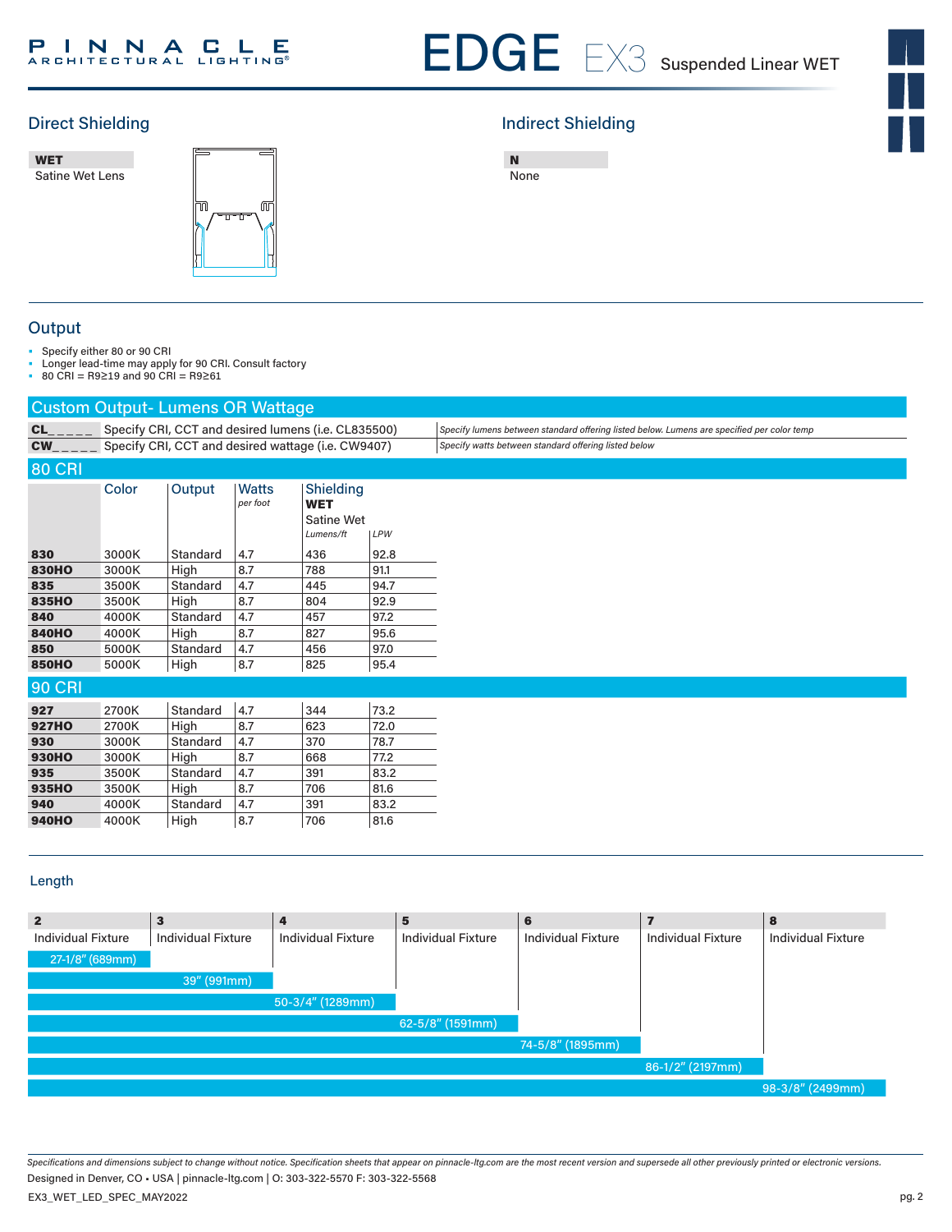#### **INNACLE** P

# EDGE EX3 Suspended Linear WET

# $\frac{1}{\sqrt{2}}$

### Direct Shielding **Indirect Shielding Indirect Shielding**

WET w**∟.**<br>Satine Wet Lens EDGE 3



| None |  |
|------|--|

**Output** 

• Specify either 80 or 90 CRI

• Longer lead-time may apply for 90 CRI. Consult factory

• 80 CRI = R9≥19 and 90 CRI = R9≥61

|               | <b>Custom Output-Lumens OR Wattage</b> |          |                                                     |                                                           |      |                                                                                            |
|---------------|----------------------------------------|----------|-----------------------------------------------------|-----------------------------------------------------------|------|--------------------------------------------------------------------------------------------|
| CL            |                                        |          | Specify CRI, CCT and desired lumens (i.e. CL835500) |                                                           |      | Specify lumens between standard offering listed below. Lumens are specified per color temp |
| <b>CW</b>     |                                        |          | Specify CRI, CCT and desired wattage (i.e. CW9407)  |                                                           |      | Specify watts between standard offering listed below                                       |
| <b>80 CRI</b> |                                        |          |                                                     |                                                           |      |                                                                                            |
|               | Color                                  | Output   | <b>Watts</b><br>per foot                            | Shielding<br><b>WET</b><br><b>Satine Wet</b><br>Lumens/ft | LPW  |                                                                                            |
| 830           | 3000K                                  | Standard | 4.7                                                 | 436                                                       | 92.8 |                                                                                            |
| <b>830HO</b>  | 3000K                                  | High     | 8.7                                                 | 788                                                       | 91.1 |                                                                                            |
| 835           | 3500K                                  | Standard | 4.7                                                 | 445                                                       | 94.7 |                                                                                            |
| 835HO         | 3500K                                  | High     | 8.7                                                 | 804                                                       | 92.9 |                                                                                            |
| 840           | 4000K                                  | Standard | 4.7                                                 | 457                                                       | 97.2 |                                                                                            |
| <b>840HO</b>  | 4000K                                  | High     | 8.7                                                 | 827                                                       | 95.6 |                                                                                            |
| 850           | 5000K                                  | Standard | 4.7                                                 | 456                                                       | 97.0 |                                                                                            |
| <b>850HO</b>  | 5000K                                  | High     | 8.7                                                 | 825                                                       | 95.4 |                                                                                            |
| <b>90 CRI</b> |                                        |          |                                                     |                                                           |      |                                                                                            |
| 927           | 2700K                                  | Standard | 4.7                                                 | 344                                                       | 73.2 |                                                                                            |
| <b>927HO</b>  | 2700K                                  | High     | 8.7                                                 | 623                                                       | 72.0 |                                                                                            |
| 930           | 3000K                                  | Standard | 4.7                                                 | 370                                                       | 78.7 |                                                                                            |
| <b>930HO</b>  | 3000K                                  | High     | 8.7                                                 | 668                                                       | 77.2 |                                                                                            |
| 935           | 3500K                                  | Standard | 4.7                                                 | 391                                                       | 83.2 |                                                                                            |
| 935HO         | 3500K                                  | High     | 8.7                                                 | 706                                                       | 81.6 |                                                                                            |
| 940           | 4000K                                  | Standard | 4.7                                                 | 391                                                       | 83.2 |                                                                                            |
| <b>940HO</b>  | 4000K                                  | High     | 8.7                                                 | 706                                                       | 81.6 |                                                                                            |
|               |                                        |          |                                                     |                                                           |      |                                                                                            |

#### Length

| $\mathbf{2}$              | $\mathbf{3}$              | 4                         | 5                         | 6                         |                           | 8                         |
|---------------------------|---------------------------|---------------------------|---------------------------|---------------------------|---------------------------|---------------------------|
| <b>Individual Fixture</b> | <b>Individual Fixture</b> | <b>Individual Fixture</b> | <b>Individual Fixture</b> | <b>Individual Fixture</b> | <b>Individual Fixture</b> | <b>Individual Fixture</b> |
| 27-1/8" (689mm)           |                           |                           |                           |                           |                           |                           |
|                           | 39" (991mm)               |                           |                           |                           |                           |                           |
|                           |                           | 50-3/4" (1289mm)          |                           |                           |                           |                           |
|                           |                           |                           | $62 - 5/8''$ (1591mm)     |                           |                           |                           |
|                           |                           |                           |                           | 74-5/8" (1895mm)          |                           |                           |
|                           |                           |                           |                           |                           | 86-1/2" (2197mm)          |                           |
|                           |                           |                           |                           |                           |                           | 98-3/8" (2499mm)          |

*Specifications and dimensions subject to change without notice. Specification sheets that appear on pinnacle-ltg.com are the most recent version and supersede all other previously printed or electronic versions.* EX3\_WET\_LED\_SPEC\_MAY2022 Designed in Denver, CO • USA | pinnacle-ltg.com | O: 303-322-5570 F: 303-322-5568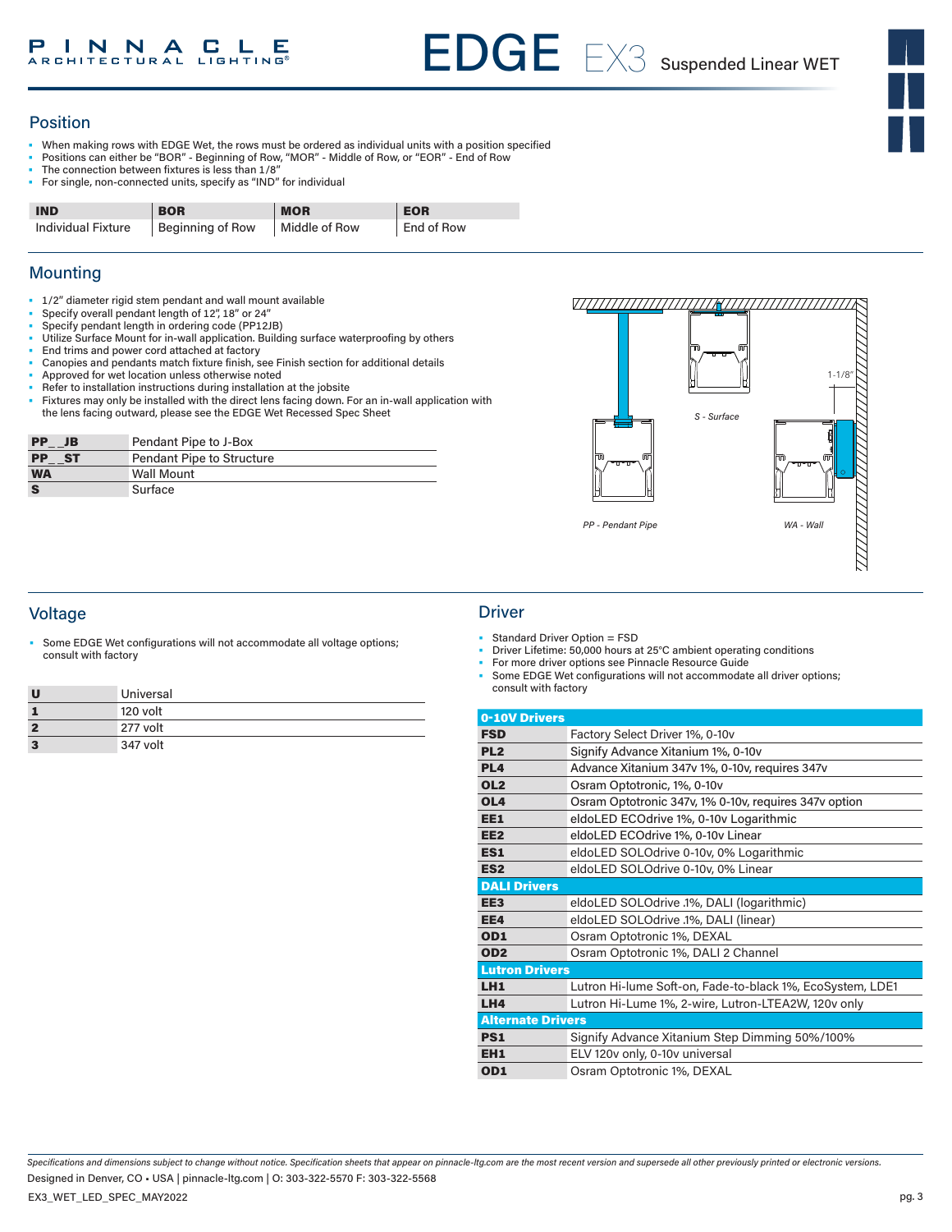#### Position

- When making rows with EDGE Wet, the rows must be ordered as individual units with a position specified
- Positions can either be "BOR" Beginning of Row, "MOR" Middle of Row, or "EOR" End of Row
- The connection between fixtures is less than 1/8"
- For single, non-connected units, specify as "IND" for individual

| <b>IND</b>                | <b>BOR</b>       | <b>MOR</b>    | <b>EOR</b> |
|---------------------------|------------------|---------------|------------|
| <b>Individual Fixture</b> | Beginning of Row | Middle of Row | End of Row |

#### **Mounting**

- 1/2" diameter rigid stem pendant and wall mount available
- Specify overall pendant length of 12", 18" or 24"
- Specify pendant length in ordering code (PP12JB)
- Utilize Surface Mount for in-wall application. Building surface waterproofing by others
- End trims and power cord attached at factory
- Canopies and pendants match fixture finish, see Finish section for additional details
- Approved for wet location unless otherwise noted • Refer to installation instructions during installation at the jobsite
- Fixtures may only be installed with the direct lens facing down. For an in-wall application with the lens facing outward, please see the EDGE Wet Recessed Spec Sheet

| <b>PP</b><br>JB      | Pendant Pipe to J-Box            |
|----------------------|----------------------------------|
| $PP$ <sub>_</sub> ST | <b>Pendant Pipe to Structure</b> |
| <b>WA</b>            | <b>Wall Mount</b>                |
|                      | Surface                          |



#### Voltage Driver

Some EDGE Wet configurations will not accommodate all voltage options; consult with factory

| U              | Universal | consult with factory |     |
|----------------|-----------|----------------------|-----|
|                | 120 volt  | 0-10V Drivers        |     |
| $\overline{2}$ | 277 volt  | <b>FSD</b>           | Fac |
| $\mathbf{3}$   | 347 volt  | PI <sub>2</sub>      | Sin |

- Standard Driver Option = FSD
- Driver Lifetime: 50,000 hours at 25°C ambient operating conditions
- For more driver options see Pinnacle Resource Guide Some EDGE Wet configurations will not accommodate all driver options;

| 0-10V Drivers            |                                                           |
|--------------------------|-----------------------------------------------------------|
| <b>FSD</b>               | Factory Select Driver 1%, 0-10v                           |
| PL <sub>2</sub>          | Signify Advance Xitanium 1%, 0-10v                        |
| PL <sub>4</sub>          | Advance Xitanium 347v 1%, 0-10v, requires 347v            |
| OL <sub>2</sub>          | Osram Optotronic, 1%, 0-10v                               |
| OL <sub>4</sub>          | Osram Optotronic 347v, 1% 0-10v, requires 347v option     |
| EE1                      | eldoLED ECOdrive 1%, 0-10y Logarithmic                    |
| EE <sub>2</sub>          | eldoLED ECOdrive 1%, 0-10v Linear                         |
| ES1                      | eldoLED SOLOdrive 0-10v, 0% Logarithmic                   |
| ES <sub>2</sub>          | eldoLED SOLOdrive 0-10v, 0% Linear                        |
| <b>DALI Drivers</b>      |                                                           |
| EE <sub>3</sub>          | eldoLED SOLOdrive .1%, DALI (logarithmic)                 |
| EE4                      | eldoLED SOLOdrive .1%, DALI (linear)                      |
| OD <sub>1</sub>          | Osram Optotronic 1%, DEXAL                                |
| OD <sub>2</sub>          | Osram Optotronic 1%, DALI 2 Channel                       |
| <b>Lutron Drivers</b>    |                                                           |
| LH1                      | Lutron Hi-lume Soft-on, Fade-to-black 1%, EcoSystem, LDE1 |
| LH <sub>4</sub>          | Lutron Hi-Lume 1%, 2-wire, Lutron-LTEA2W, 120v only       |
| <b>Alternate Drivers</b> |                                                           |
| PS <sub>1</sub>          | Signify Advance Xitanium Step Dimming 50%/100%            |
| EH <sub>1</sub>          | ELV 120v only, 0-10v universal                            |
| OD1                      | Osram Optotronic 1%, DEXAL                                |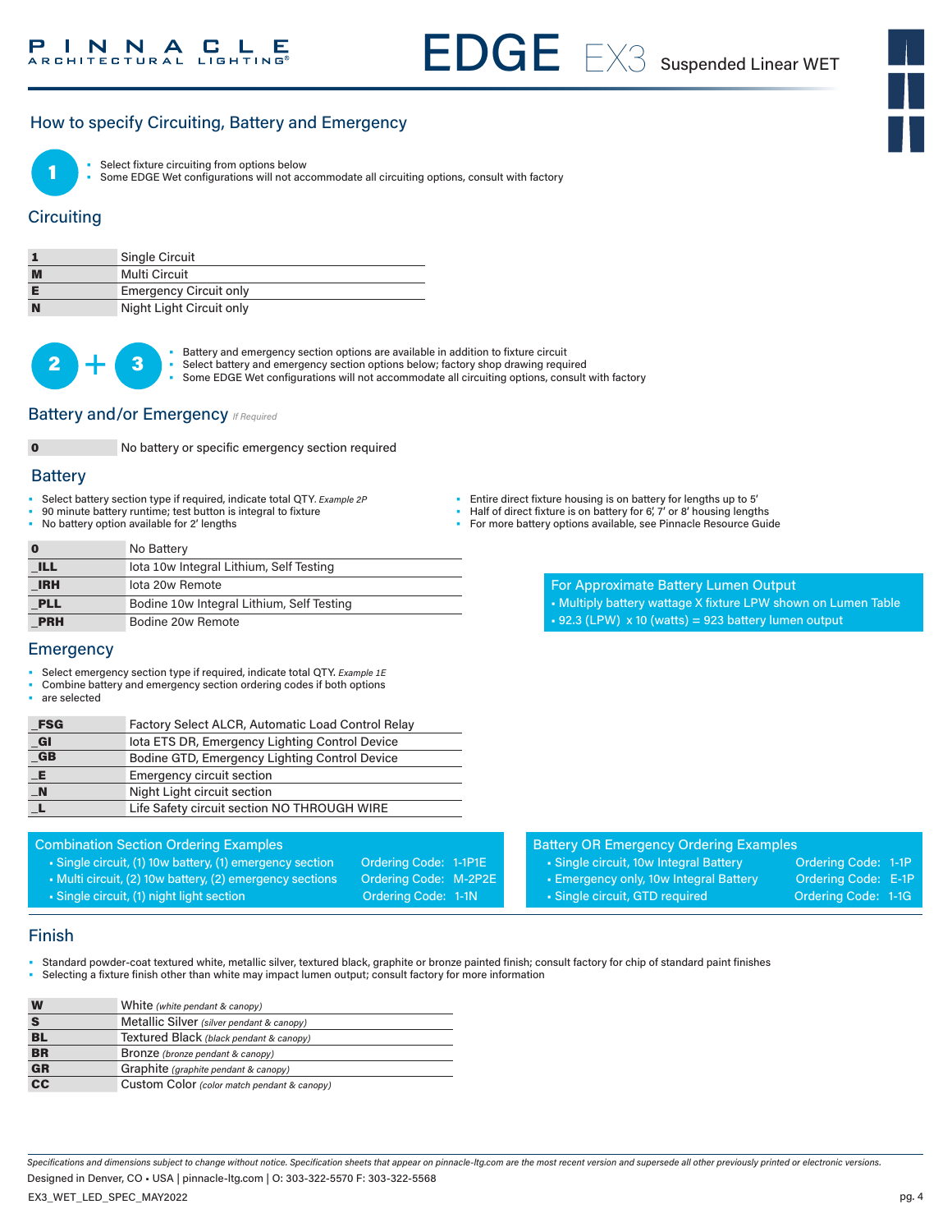#### How to specify Circuiting, Battery and Emergency



Select fixture circuiting from options below

Some EDGE Wet configurations will not accommodate all circuiting options, consult with factory

#### **Circuiting**

|   | Single Circuit                |
|---|-------------------------------|
| M | Multi Circuit                 |
|   | <b>Emergency Circuit only</b> |
| N | Night Light Circuit only      |



**3** • Battery and emergency section options are available in addition to fixture circuit<br>
• Select battery and emergency section options below; factory shop drawing requ

- Select battery and emergency section options below; factory shop drawing required
- Some EDGE Wet configurations will not accommodate all circuiting options, consult with factory

#### **Battery and/or Emergency** *If Required*



0 No battery or specific emergency section required

#### **Battery**

- Select battery section type if required, indicate total QTY*. Example 2P*
- 90 minute battery runtime; test button is integral to fixture
- No battery option available for 2' lengths

| Entire direct fixture housing is on battery for lengths up to 5' |  |
|------------------------------------------------------------------|--|

- Half of direct fixture is on battery for 6', 7' or 8' housing lengths
- For more battery options available, see Pinnacle Resource Guide

**0** No Battery **ILL IDTE IOTAL IOU INTEGRAL Lithium, Self Testing IRH Iota 20w Remote PLL** Bodine 10w Integral Lithium, Self Testing PRH Bodine 20w Remote

For Approximate Battery Lumen Output • Multiply battery wattage X fixture LPW shown on Lumen Table  $\cdot$  92.3 (LPW) x 10 (watts) = 923 battery lumen output

#### Emergency

- Select emergency section type if required, indicate total QTY. *Example 1E*
- Combine battery and emergency section ordering codes if both options

Combination Section Ordering Examples

are selected

| <b>FSG</b>       | Factory Select ALCR, Automatic Load Control Relay |
|------------------|---------------------------------------------------|
| GI               | lota ETS DR, Emergency Lighting Control Device    |
| <b>GB</b>        | Bodine GTD, Emergency Lighting Control Device     |
|                  | <b>Emergency circuit section</b>                  |
| $\blacksquare$ N | Night Light circuit section                       |
|                  | Life Safety circuit section NO THROUGH WIRE       |
|                  |                                                   |

| <b>Battery OR Emergency Ordering Examples</b> |                     |  |
|-----------------------------------------------|---------------------|--|
| • Single circuit, 10w Integral Battery        | Ordering Code: 1-1P |  |
| • Emergency only, 10w Integral Battery        | Ordering Code: E-1P |  |
| · Single circuit, GTD required                | Ordering Code: 1-1G |  |
|                                               |                     |  |

#### Finish

- Standard powder-coat textured white, metallic silver, textured black, graphite or bronze painted finish; consult factory for chip of standard paint finishes
- Selecting a fixture finish other than white may impact lumen output; consult factory for more information

• Single circuit, (1) 10w battery, (1) emergency section Ordering Code: 1-1P1E • Multi circuit, (2) 10w battery, (2) emergency sections Ordering Code: M-2P2E • Single circuit, (1) night light section **Ordering Code: 1-1N** 

| W                                 | White (white pendant & canopy)              |
|-----------------------------------|---------------------------------------------|
|                                   | Metallic Silver (silver pendant & canopy)   |
| <b>BL</b>                         | Textured Black (black pendant & canopy)     |
| <b>BR</b>                         | <b>Bronze</b> (bronze pendant & canopy)     |
| <b>GR</b>                         | Graphite (graphite pendant & canopy)        |
| $\overline{\mathbf{c}\mathbf{c}}$ | Custom Color (color match pendant & canopy) |

*Specifications and dimensions subject to change without notice. Specification sheets that appear on pinnacle-ltg.com are the most recent version and supersede all other previously printed or electronic versions.* EX3\_WET\_LED\_SPEC\_MAY2022 Designed in Denver, CO • USA | pinnacle-ltg.com | O: 303-322-5570 F: 303-322-5568

pg. 4